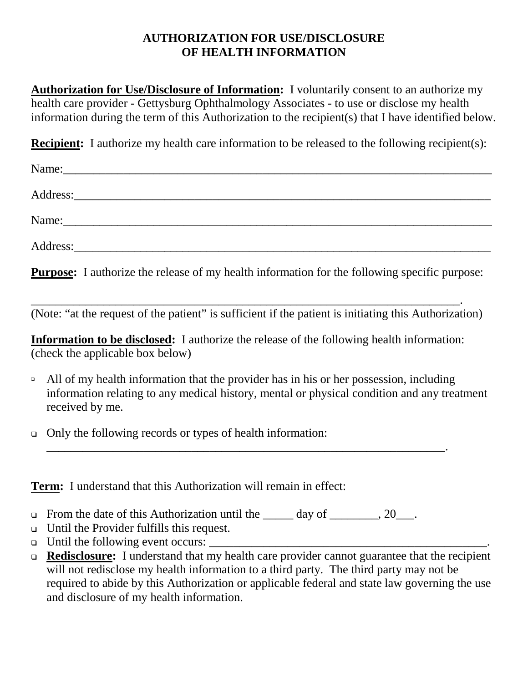## **AUTHORIZATION FOR USE/DISCLOSURE OF HEALTH INFORMATION**

**Authorization for Use/Disclosure of Information:** I voluntarily consent to an authorize my health care provider - Gettysburg Ophthalmology Associates - to use or disclose my health information during the term of this Authorization to the recipient(s) that I have identified below.

**Recipient:** I authorize my health care information to be released to the following recipient(s):

| Name:    |  |
|----------|--|
|          |  |
| Name:    |  |
| Address: |  |

**Purpose:** I authorize the release of my health information for the following specific purpose:

\_\_\_\_\_\_\_\_\_\_\_\_\_\_\_\_\_\_\_\_\_\_\_\_\_\_\_\_\_\_\_\_\_\_\_\_\_\_\_\_\_\_\_\_\_\_\_\_\_\_\_\_\_\_\_\_\_\_\_\_\_\_\_\_\_\_\_\_\_\_\_. (Note: "at the request of the patient" is sufficient if the patient is initiating this Authorization)

**Information to be disclosed:** I authorize the release of the following health information: (check the applicable box below)

\_\_\_\_\_\_\_\_\_\_\_\_\_\_\_\_\_\_\_\_\_\_\_\_\_\_\_\_\_\_\_\_\_\_\_\_\_\_\_\_\_\_\_\_\_\_\_\_\_\_\_\_\_\_\_\_\_\_\_\_\_\_\_\_\_\_.

- $\Box$  All of my health information that the provider has in his or her possession, including information relating to any medical history, mental or physical condition and any treatment received by me.
- Only the following records or types of health information:

**Term:** I understand that this Authorization will remain in effect:

- From the date of this Authorization until the  $\_\_\_\_$  day of  $\_\_\_\_\_$ , 20 $\_\_\_\_\$ .
- Until the Provider fulfills this request.
- $\Box$  Until the following event occurs:
- **Redisclosure:** I understand that my health care provider cannot guarantee that the recipient will not redisclose my health information to a third party. The third party may not be required to abide by this Authorization or applicable federal and state law governing the use and disclosure of my health information.